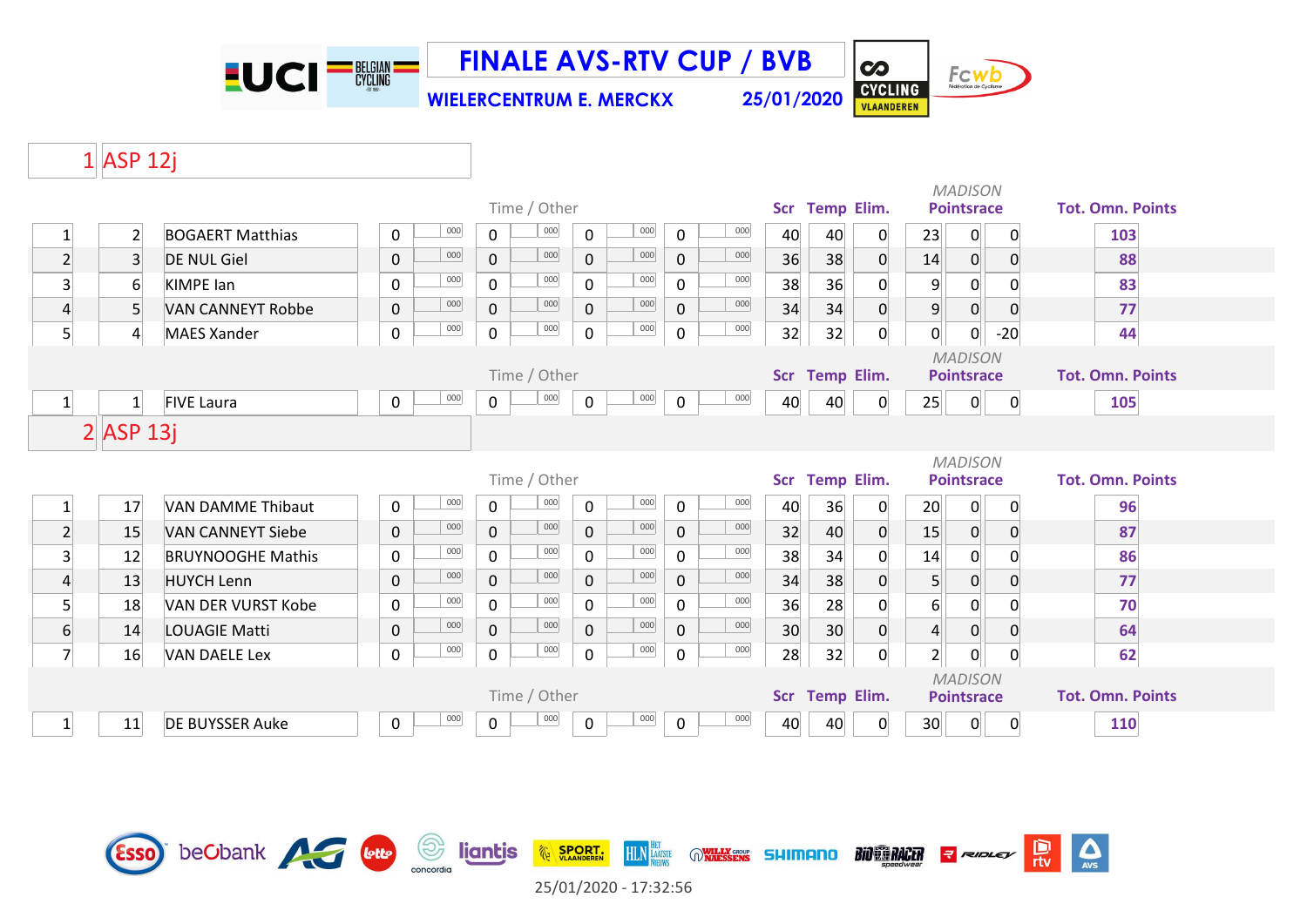**LUCI<sup>-BELGIAN</sub>**</sup>

**WIELERCENTRUM E. MERCKX 25/01/2020 FINALE AVS-RTV CUP / BVB**



 $\overline{\mathbf{c}}$ 

#### $1$  ASP 12j

|                  |                  |                           |                    |                | Time / Other |                |         |             |         |            | Scr Temp Elim.    |                  |                  | <b>MADISON</b><br><b>Pointsrace</b> |                | <b>Tot. Omn. Points</b> |
|------------------|------------------|---------------------------|--------------------|----------------|--------------|----------------|---------|-------------|---------|------------|-------------------|------------------|------------------|-------------------------------------|----------------|-------------------------|
| $\mathbf{1}$     | $\overline{2}$   | <b>BOGAERT Matthias</b>   | 000<br>$\mathbf 0$ | $\mathsf{O}$   | $000\,$      | $\mathsf{O}$   | $000\,$ | $\mathbf 0$ | 000     | 40         | 40                | 0                | 23               | 0                                   | $\mathbf 0$    | 103                     |
| $\overline{2}$   | $\overline{3}$   | <b>DE NUL Giel</b>        | 000<br>$\mathsf 0$ | $\mathbf{0}$   | 000          | $\overline{0}$ | 000     | $\mathbf 0$ | $000\,$ | 36         | 38                | $\Omega$         | 14               | 0                                   | $\overline{0}$ | 88                      |
| $\overline{3}$   | $6\,$            | <b>KIMPE lan</b>          | 000<br>$\mathbf 0$ | $\mathsf{O}$   | 000          | 0              | 000     | $\mathbf 0$ | 000     | 38         | 36                | $\Omega$         | 9                | 0                                   | $\mathbf 0$    | 83                      |
| $\overline{4}$   | 5 <sup>1</sup>   | <b>VAN CANNEYT Robbe</b>  | 000<br>$\mathsf 0$ | $\overline{0}$ | 000          | $\mathbf{0}$   | 000     | $\mathbf 0$ | 000     | 34         | 34                | $\overline{0}$   | $9\,$            | 0                                   | $\overline{0}$ | 77                      |
| 5 <sup>1</sup>   | $\boldsymbol{4}$ | <b>MAES Xander</b>        | 000<br>$\mathbf 0$ | $\mathbf 0$    | 000          | $\mathsf{O}$   | 000     | $\mathbf 0$ | $000\,$ | 32         | 32                | $\overline{0}$   | $\overline{0}$   | 0                                   | $-20$          | 44                      |
|                  |                  |                           |                    |                | Time / Other |                |         |             |         |            | Scr Temp Elim.    |                  |                  | <b>MADISON</b><br><b>Pointsrace</b> |                | <b>Tot. Omn. Points</b> |
| $\vert$ 1        | $\mathbf{1}$     | <b>FIVE Laura</b>         | 000<br>$\mathbf 0$ | $\mathbf 0$    | 000          | $\mathsf{O}$   | 000     | $\mathbf 0$ | 000     | 40         | 40                | $\overline{0}$   | 25               | 0                                   | $\overline{0}$ | 105                     |
|                  | $2$ ASP 13j      |                           |                    |                |              |                |         |             |         |            |                   |                  |                  |                                     |                |                         |
|                  |                  |                           |                    |                |              |                |         |             |         |            |                   |                  |                  | <b>MADISON</b>                      |                |                         |
|                  |                  |                           |                    |                | Time / Other |                |         |             |         | <b>Scr</b> | <b>Temp Elim.</b> |                  |                  | <b>Pointsrace</b>                   |                | <b>Tot. Omn. Points</b> |
| $\mathbf{1}$     | 17               | <b>VAN DAMME Thibaut</b>  | 000<br>$\mathbf 0$ | $\mathbf 0$    | $000\,$      | $\mathbf 0$    | 000     | $\mathbf 0$ | 000     | 40         | 36                | 0                | 20 <sup>°</sup>  | 0                                   | $\overline{0}$ | 96                      |
| $\overline{2}$   | 15               | <b>VAN CANNEYT Siebe</b>  | 000<br>$\mathbf 0$ | $\mathbf{0}$   | 000          | $\mathsf{O}$   | 000     | $\mathbf 0$ | 000     | 32         | 40                | $\overline{0}$   | 15               | $\mathbf{0}$                        | $\overline{0}$ | 87                      |
| $\overline{3}$   | 12               | <b>BRUYNOOGHE Mathis</b>  | 000<br>0           | $\mathsf{O}$   | 000          | $\mathbf 0$    | 000     | $\mathbf 0$ | 000     | 38         | 34                | 0                | 14               | 0                                   | $\mathbf{0}$   | 86                      |
| $\overline{4}$   | 13               | <b>HUYCH Lenn</b>         | 000<br>$\pmb{0}$   | $\overline{0}$ | 000          | $\overline{0}$ | 000     | $\mathbf 0$ | 000     | 34         | 38                | $\overline{0}$   | 5 <sup>1</sup>   | 0                                   | $\overline{0}$ | 77                      |
| 5 <sup>1</sup>   | 18               | <b>VAN DER VURST Kobe</b> | 000<br>$\mathbf 0$ | $\mathsf{O}$   | 000          | 0              | 000     | $\mathbf 0$ | 000     | 36         | 28                | 0                | $6 \overline{6}$ | 0                                   | $\mathbf 0$    | 70                      |
| $6 \overline{6}$ | 14               | LOUAGIE Matti             | 000<br>$\pmb{0}$   | $\mathbf{0}$   | 000          | $\overline{0}$ | 000     | $\mathbf 0$ | 000     | 30         | 30                | $\boldsymbol{0}$ | $\vert 4 \vert$  | 0                                   | $\overline{0}$ | 64                      |
| $\overline{7}$   | 16               | <b>VAN DAELE Lex</b>      | 000<br>$\mathbf 0$ | $\mathsf{O}$   | 000          | $\mathsf{O}$   | 000     | $\mathbf 0$ | 000     | 28         | 32                | $\overline{0}$   | $\mathbf{2}$     | $\mathsf{O}$                        | $\mathbf 0$    | 62                      |
|                  |                  |                           |                    |                | Time / Other |                |         |             |         |            | Scr Temp Elim.    |                  |                  | <b>MADISON</b><br><b>Pointsrace</b> |                | <b>Tot. Omn. Points</b> |
|                  | 11               | DE BUYSSER Auke           | 000<br>$\mathbf 0$ | $\mathbf 0$    | 000          | $\mathbf 0$    | 000     | $\mathbf 0$ | 000     | 40         | 40                | 0                | 30               | $\mathbf{0}$                        | $\mathbf 0$    | 110                     |

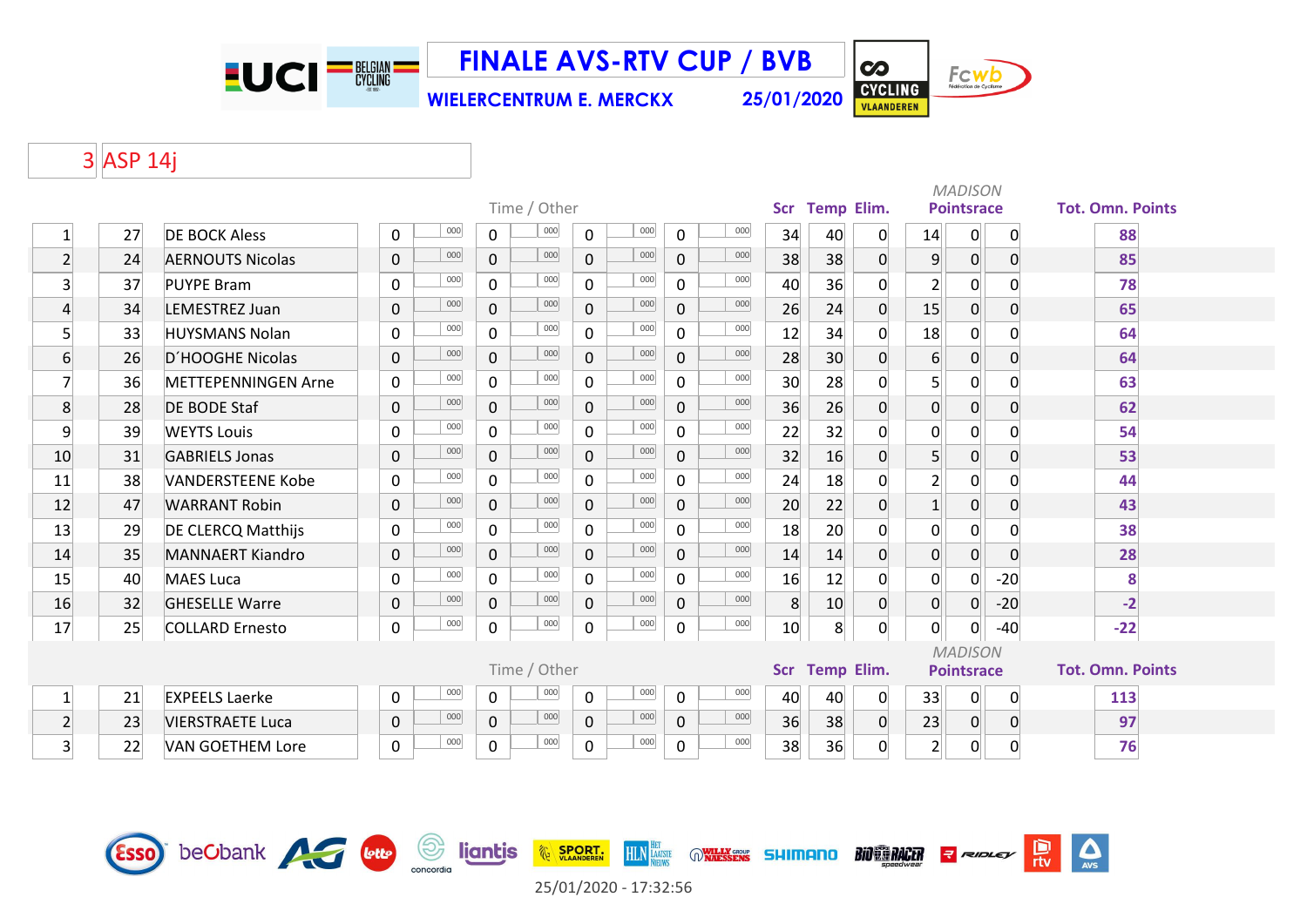**EUCI<sup>-BEGIAN</sub>**</sup>

**FINALE AVS-RTV CUP / BVB**

**WIELERCENTRUM E. MERCKX 25/01/2020**

CYCLING

 $\overline{\mathbf{c}}$ 

**BIO EN RACER** 

Fcwb

 $\sum_{\text{AVS}}$ 

믮

**R** RIDLEY

# 3 ASP 14j

|                  |    |                            |              |     |                |              |                |     |              |     |    |                 |                |                  | <b>MADISON</b>    |                |                         |
|------------------|----|----------------------------|--------------|-----|----------------|--------------|----------------|-----|--------------|-----|----|-----------------|----------------|------------------|-------------------|----------------|-------------------------|
|                  |    |                            |              |     |                | Time / Other |                |     |              |     |    | Scr Temp Elim.  |                |                  | <b>Pointsrace</b> |                | <b>Tot. Omn. Points</b> |
| $\mathbf{1}$     | 27 | <b>DE BOCK Aless</b>       | 0            | 000 | $\mathbf{0}$   | 000          | $\mathbf 0$    | 000 | $\mathbf 0$  | 000 | 34 | 40              | $\mathbf 0$    | 14               | $\mathbf{0}$      | $\overline{0}$ | 88                      |
| $\overline{2}$   | 24 | <b>AERNOUTS Nicolas</b>    | 0            | 000 | $\mathbf 0$    | 000          | $\mathbf{0}$   | 000 | $\mathbf 0$  | 000 | 38 | 38              | $\mathbf 0$    | $\overline{9}$   | $\mathsf{O}$      | $\overline{0}$ | 85                      |
| $\overline{3}$   | 37 | <b>PUYPE Bram</b>          | 0            | 000 | $\mathsf{O}$   | 000          | $\mathbf 0$    | 000 | $\mathbf 0$  | 000 | 40 | 36              | 0              | $\overline{2}$   | $\overline{0}$    | 0              | 78                      |
| $\overline{4}$   | 34 | LEMESTREZ Juan             | 0            | 000 | $\overline{0}$ | 000          | $\overline{0}$ | 000 | 0            | 000 | 26 | 24              | $\overline{0}$ | 15               | $\overline{0}$    | $\mathbf 0$    | 65                      |
| 5 <sup>1</sup>   | 33 | <b>HUYSMANS Nolan</b>      | 0            | 000 | $\mathbf{0}$   | 000          | $\Omega$       | 000 | $\mathbf 0$  | 000 | 12 | 34              | 0              | 18               | $\Omega$          | $\Omega$       | 64                      |
| $6 \overline{6}$ | 26 | D'HOOGHE Nicolas           | $\mathbf{0}$ | 000 | $\overline{0}$ | 000          | $\Omega$       | 000 | $\mathbf 0$  | 000 | 28 | 30 <sup>°</sup> | 0              | $6 \overline{6}$ | $\overline{0}$    | $\overline{0}$ | 64                      |
| $\overline{7}$   | 36 | <b>METTEPENNINGEN Arne</b> | 0            | 000 | $\mathbf{0}$   | 000          | $\mathbf{0}$   | 000 | $\mathbf 0$  | 000 | 30 | 28              | $\Omega$       | 5 <sup>1</sup>   | $\overline{0}$    | $\Omega$       | 63                      |
| 8                | 28 | <b>DE BODE Staf</b>        | $\mathbf 0$  | 000 | $\mathbf 0$    | 000          | $\overline{0}$ | 000 | $\mathbf 0$  | 000 | 36 | 26              | $\overline{0}$ | $\overline{0}$   | $\overline{0}$    | $\overline{0}$ | 62                      |
| 9                | 39 | <b>WEYTS Louis</b>         | 0            | 000 | $\mathbf 0$    | 000          | 0              | 000 | $\mathbf 0$  | 000 | 22 | 32              | 0              | $\overline{0}$   | $\overline{0}$    | $\mathbf{0}$   | 54                      |
| 10               | 31 | <b>GABRIELS Jonas</b>      | $\mathbf 0$  | 000 | $\overline{0}$ | 000          | $\mathbf{0}$   | 000 | $\mathbf{0}$ | 000 | 32 | 16              | 0              | 5 <sup>1</sup>   | $\overline{0}$    | 0              | 53                      |
| 11               | 38 | <b>VANDERSTEENE Kobe</b>   | 0            | 000 | $\mathbf 0$    | 000          | $\Omega$       | 000 | $\mathbf 0$  | 000 | 24 | 18              | $\Omega$       | $\overline{2}$   | $\mathsf{O}$      | $\Omega$       | 44                      |
| 12               | 47 | <b>WARRANT Robin</b>       | $\mathbf 0$  | 000 | $\overline{0}$ | 000          | $\mathbf{0}$   | 000 | $\mathbf{0}$ | 000 | 20 | 22              | $\Omega$       | $1\overline{ }$  | $\overline{0}$    | $\Omega$       | 43                      |
| 13               | 29 | <b>DE CLERCQ Matthijs</b>  | 0            | 000 | $\mathsf{O}$   | 000          | $\mathbf 0$    | 000 | $\mathbf 0$  | 000 | 18 | 20              | 0              | $\overline{0}$   | $\overline{0}$    | $\mathbf{0}$   | 38                      |
| 14               | 35 | <b>MANNAERT Kiandro</b>    | 0            | 000 | $\mathbf 0$    | 000          | $\mathbf 0$    | 000 | 0            | 000 | 14 | 14              | $\mathbf 0$    | $\overline{0}$   | $\overline{0}$    | $\mathbf 0$    | 28                      |
| 15               | 40 | <b>MAES Luca</b>           | 0            | 000 | $\mathbf 0$    | 000          | $\mathbf{0}$   | 000 | $\mathbf 0$  | 000 | 16 | 12              | $\overline{0}$ | $\overline{0}$   | $\overline{0}$    | $-20$          | 8                       |
| 16               | 32 | <b>GHESELLE Warre</b>      | $\mathbf 0$  | 000 | $\mathbf{0}$   | 000          | $\mathbf{0}$   | 000 | 0            | 000 | 8  | 10 <sup>°</sup> | $\overline{0}$ | $\overline{0}$   | 0                 | $-20$          | $-2$                    |
| 17               | 25 | <b>COLLARD Ernesto</b>     | 0            | 000 | 0              | $000\,$      | 0              | 000 | $\mathbf 0$  | 000 | 10 | 8 <sup>°</sup>  | 0              | 0                | $\overline{0}$    | $-40$          | $-22$                   |
|                  |    |                            |              |     |                |              |                |     |              |     |    |                 |                |                  | <b>MADISON</b>    |                |                         |
|                  |    |                            |              |     |                | Time / Other |                |     |              |     |    | Scr Temp Elim.  |                |                  | <b>Pointsrace</b> |                | <b>Tot. Omn. Points</b> |
| $1\overline{ }$  | 21 | <b>EXPEELS Laerke</b>      | 0            | 000 | $\mathbf 0$    | 000          | $\mathbf 0$    | 000 | $\mathbf 0$  | 000 | 40 | 40              | $\mathbf 0$    | 33               | 0                 | 0              | 113                     |
| $\mathbf{2}$     | 23 | <b>VIERSTRAETE Luca</b>    | $\mathbf 0$  | 000 | $\mathbf{0}$   | 000          | $\mathbf{0}$   | 000 | $\mathbf 0$  | 000 | 36 | 38              | $\overline{0}$ | 23               | $\overline{0}$    | $\overline{0}$ | 97                      |
| $\mathbf{3}$     | 22 | <b>VAN GOETHEM Lore</b>    | 0            | 000 | $\mathbf 0$    | 000          | $\mathbf 0$    | 000 | $\mathbf 0$  | 000 | 38 | 36              | 0              | $\overline{2}$   | $\overline{0}$    | $\mathbf 0$    | 76                      |
|                  |    |                            |              |     |                |              |                |     |              |     |    |                 |                |                  |                   |                |                         |



25/01/2020 - 17:32:56

**EXAMPLE SPORT.** 

**HLN** LAATSTE

WILLY GROUP SHIMANO

**Survey de ligntis**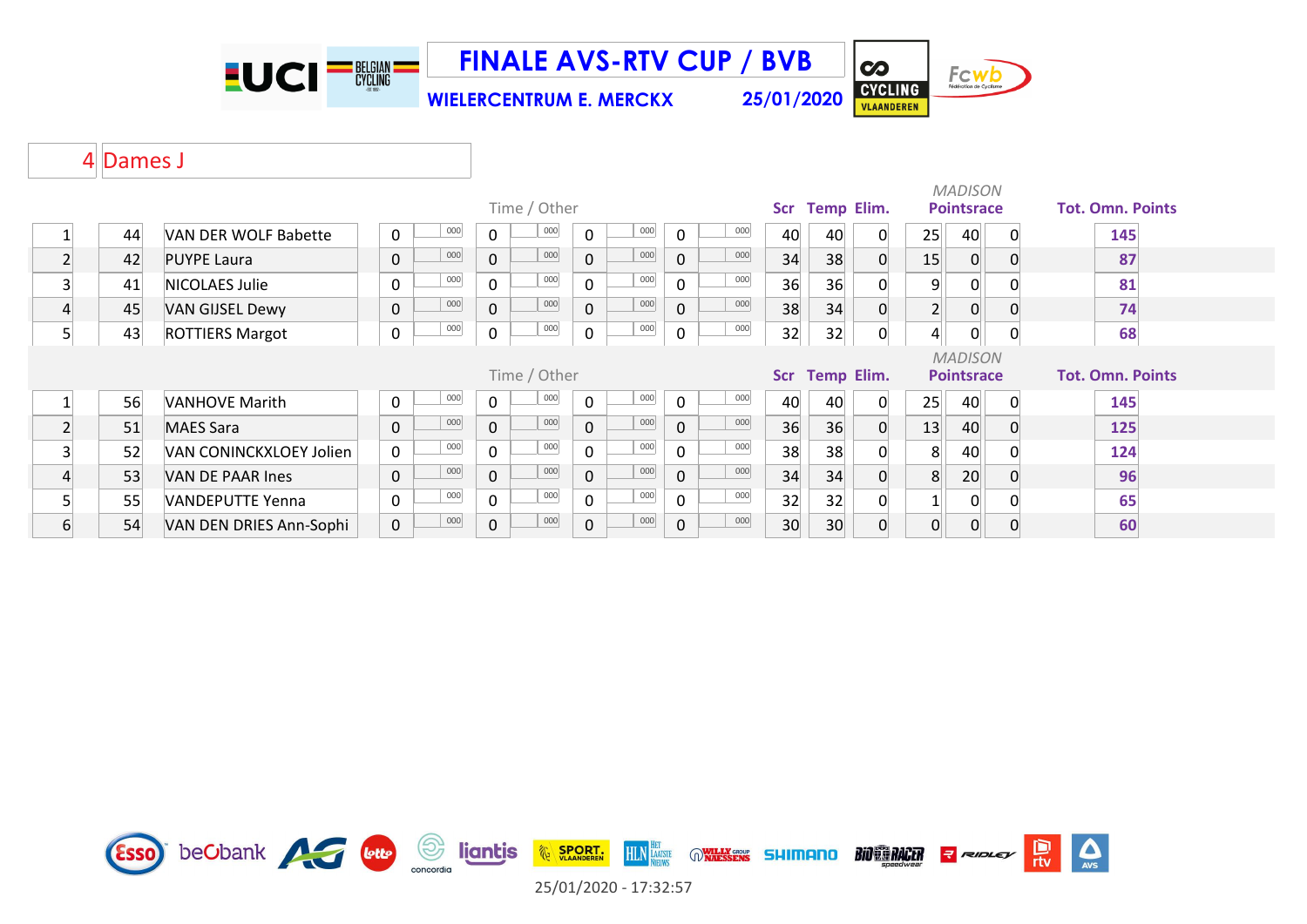**EUCI<sup>-BEGIAN</sub>**</sup>

**FINALE AVS-RTV CUP / BVB**

Fcwb CYCLING

 $\overline{\mathbf{c}}$ 

**WIELERCENTRUM E. MERCKX 25/01/2020**

#### 4 Dames J

|   |    |                         |   |     |                |              |             |         |              |     |            |                   |          |                | <b>MADISON</b>    |    |                         |
|---|----|-------------------------|---|-----|----------------|--------------|-------------|---------|--------------|-----|------------|-------------------|----------|----------------|-------------------|----|-------------------------|
|   |    |                         |   |     |                | Time / Other |             |         |              |     | <b>Scr</b> | <b>Temp Elim.</b> |          |                | <b>Pointsrace</b> |    | <b>Tot. Omn. Points</b> |
|   | 44 | VAN DER WOLF Babette    | 0 | 000 | $\mathbf{0}$   | 000          | $\mathbf 0$ | 000     | $\Omega$     | 000 | 40         | 40                | $\Omega$ | 25             | 40                | -0 | 145                     |
|   | 42 | <b>PUYPE Laura</b>      | 0 | 000 | $\overline{0}$ | 000          | 0           | 000     | $\Omega$     | 000 | 34         | 38                |          | 15             | $\overline{0}$    |    | 87                      |
|   | 41 | NICOLAES Julie          | 0 | 000 | $\mathbf 0$    | 000          | 0           | 000     | $\Omega$     | 000 | 36         | 36                |          | 9              | 0                 |    | 81                      |
|   | 45 | <b>VAN GIJSEL Dewy</b>  | 0 | 000 | $\mathbf 0$    | 000          | 0           | 000     | $\Omega$     | 000 | 38         | 34                |          | $\overline{2}$ | 0                 |    | 74                      |
| 5 | 43 | <b>ROTTIERS Margot</b>  | 0 | 000 | $\mathsf{O}$   | 000          | 0           | 000     | 0            | 000 | 32         | 32                |          | 4              | 0                 |    | 68                      |
|   |    |                         |   |     |                |              |             |         |              |     |            |                   |          |                |                   |    |                         |
|   |    |                         |   |     |                |              |             |         |              |     |            |                   |          |                | <b>MADISON</b>    |    |                         |
|   |    |                         |   |     |                | Time / Other |             |         |              |     |            | Scr Temp Elim.    |          |                | <b>Pointsrace</b> |    | <b>Tot. Omn. Points</b> |
|   | 56 | <b>VANHOVE Marith</b>   | 0 | 000 | $\Omega$       | 000          | $\Omega$    | $000\,$ | $\Omega$     | 000 | 40         | 40                | 0        | 25             | 40                | -0 | 145                     |
|   | 51 | <b>MAES Sara</b>        | 0 | 000 | $\mathbf{0}$   | 000          | 0           | 000     | $\Omega$     | 000 | 36         | 36                |          | 13             | 40                |    | 125                     |
|   | 52 | VAN CONINCKXLOEY Jolien | 0 | 000 | 0              | 000          | 0           | 000     | $\Omega$     | 000 | 38         | 38                |          | 8              | 40                |    | 124                     |
|   | 53 | VAN DE PAAR Ines        | 0 | 000 | $\overline{0}$ | 000          | 0           | 000     | $\mathbf{0}$ | 000 | 34         | 34                |          | 8              | 20                |    | 96                      |
|   | 55 | VANDEPUTTE Yenna        | 0 | 000 | $\mathbf{0}$   | 000          | 0           | 000     | $\Omega$     | 000 | 32         | 32                |          |                | 0                 |    | 65                      |

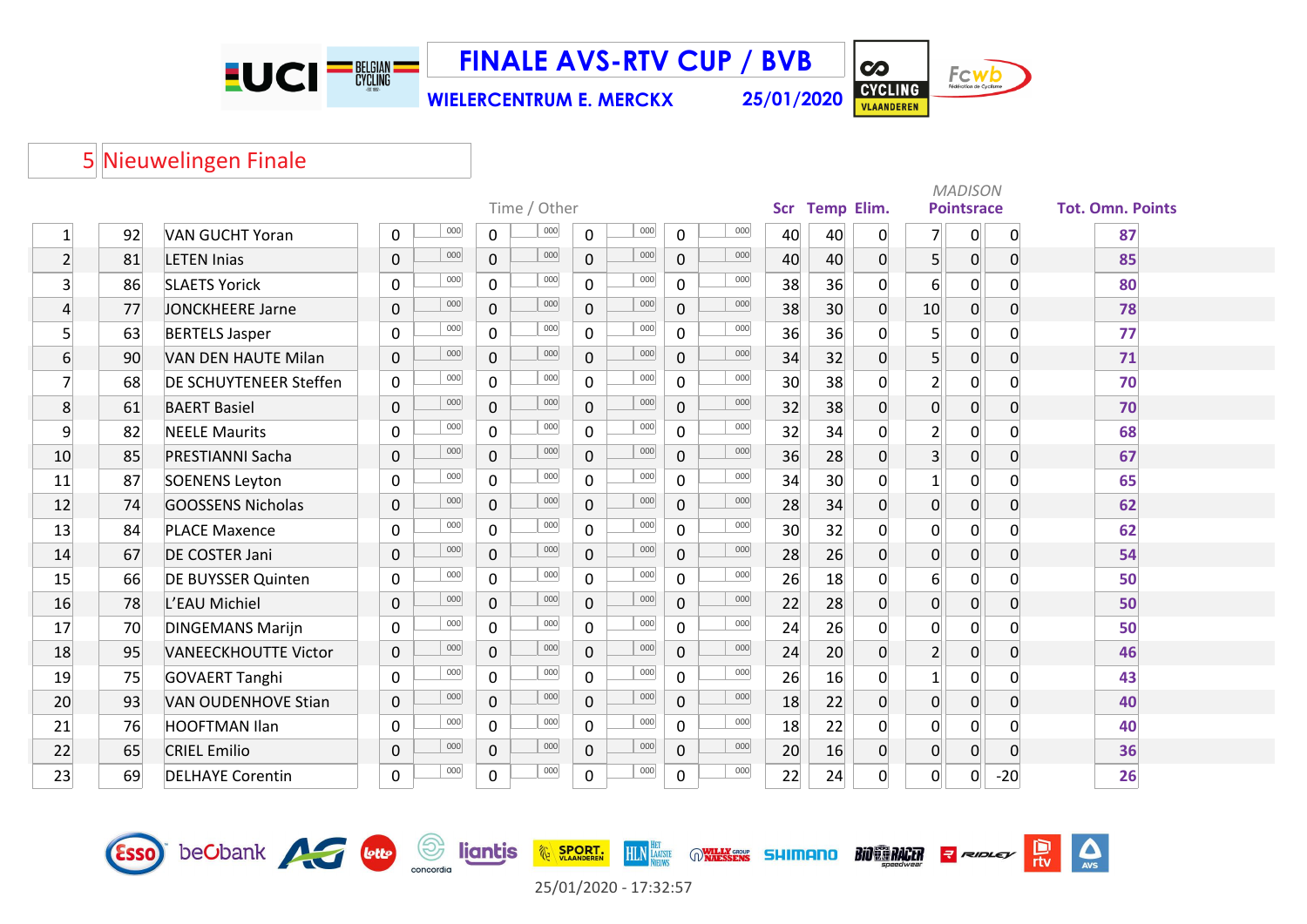EUCI<sup>-N</sup>

**FINALE AVS-RTV CUP / BVB**

**WIELERCENTRUM E. MERCKX 25/01/2020**

Fcwb CYCLING

 $\sum_{\text{AVS}}$ 

 $\frac{D}{\pi v}$ 

RIDLEY

**BIO CO RACER** 

**CO** 

### Nieuwelingen Finale

Esso beCbank AG bub

|                 |    |                             |                |     |              |              |                |     |                |     |            |                   |   |                | <b>MADISON</b>    |                |                         |
|-----------------|----|-----------------------------|----------------|-----|--------------|--------------|----------------|-----|----------------|-----|------------|-------------------|---|----------------|-------------------|----------------|-------------------------|
|                 |    |                             |                |     |              | Time / Other |                |     |                |     | <b>Scr</b> | <b>Temp Elim.</b> |   |                | <b>Pointsrace</b> |                | <b>Tot. Omn. Points</b> |
| 1               | 92 | <b>VAN GUCHT Yoran</b>      | 0              | 000 | 0            | 000          | 0              | 000 | 0              | 000 | 40         | 40                | 0 | $\overline{7}$ | 0                 | $\mathbf 0$    | 87                      |
| $\overline{2}$  | 81 | <b>LETEN Inias</b>          | $\mathbf 0$    | 000 | $\mathbf 0$  | 000          | 0              | 000 | $\mathbf 0$    | 000 | 40         | 40                | 0 | 5 <sup>1</sup> | $\overline{0}$    | 0              | 85                      |
| $\overline{3}$  | 86 | <b>SLAETS Yorick</b>        | $\mathbf 0$    | 000 | $\mathbf 0$  | 000          | $\mathbf 0$    | 000 | $\mathbf 0$    | 000 | 38         | 36                | 0 | $6 \mid$       | $\overline{0}$    | $\mathbf{0}$   | 80                      |
| $\overline{4}$  | 77 | <b>JONCKHEERE Jarne</b>     | $\mathbf{0}$   | 000 | $\mathbf 0$  | 000          | $\mathbf 0$    | 000 | $\mathbf 0$    | 000 | 38         | 30                | 0 | 10             | 0                 | $\overline{0}$ | 78                      |
| 5               | 63 | <b>BERTELS Jasper</b>       | $\mathbf 0$    | 000 | $\mathbf 0$  | 000          | $\mathbf 0$    | 000 | $\mathbf 0$    | 000 | 36         | 36                | 0 | 5 <sup>1</sup> | 0                 | $\mathbf 0$    | 77                      |
| $6 \overline{}$ | 90 | <b>VAN DEN HAUTE Milan</b>  | $\mathbf 0$    | 000 | $\mathbf 0$  | 000          | $\mathbf 0$    | 000 | $\overline{0}$ | 000 | 34         | 32                | 0 | 5 <sup>1</sup> | 0                 | $\overline{0}$ | 71                      |
| $\overline{7}$  | 68 | DE SCHUYTENEER Steffen      | $\mathbf 0$    | 000 | $\Omega$     | 000          | $\mathbf 0$    | 000 | $\mathbf 0$    | 000 | 30         | 38                | 0 | $\overline{2}$ | $\overline{0}$    | $\mathbf 0$    | 70                      |
| 8               | 61 | <b>BAERT Basiel</b>         | $\mathbf 0$    | 000 | $\mathbf 0$  | 000          | $\overline{0}$ | 000 | $\mathbf 0$    | 000 | 32         | 38                | 0 | $\overline{0}$ | 0                 | $\overline{0}$ | 70                      |
| 9               | 82 | <b>NEELE Maurits</b>        | $\mathbf 0$    | 000 | $\mathbf 0$  | 000          | $\mathbf 0$    | 000 | $\mathbf 0$    | 000 | 32         | 34                | 0 | $\overline{2}$ | 0                 | 0              | 68                      |
| 10              | 85 | <b>PRESTIANNI Sacha</b>     | $\mathbf 0$    | 000 | $\mathbf 0$  | 000          | $\mathbf 0$    | 000 | $\mathbf 0$    | 000 | 36         | 28                | 0 | 3 <sup>1</sup> | 0                 | $\overline{0}$ | 67                      |
| 11              | 87 | <b>SOENENS Leyton</b>       | $\mathbf 0$    | 000 | $\mathbf 0$  | 000          | $\mathbf 0$    | 000 | $\mathbf 0$    | 000 | 34         | 30                | 0 | $\mathbf{1}$   | $\overline{0}$    | $\mathbf 0$    | 65                      |
| 12              | 74 | <b>GOOSSENS Nicholas</b>    | $\mathbf 0$    | 000 | $\mathbf{0}$ | 000          | $\mathbf{0}$   | 000 | $\mathbf 0$    | 000 | 28         | 34                | 0 | $\overline{0}$ | $\overline{0}$    | $\overline{0}$ | 62                      |
| 13              | 84 | <b>PLACE Maxence</b>        | $\mathbf 0$    | 000 | $\mathbf 0$  | 000          | $\mathbf 0$    | 000 | $\mathbf 0$    | 000 | 30         | 32                | 0 | 0              | 0                 | 0              | 62                      |
| 14              | 67 | <b>DE COSTER Jani</b>       | $\mathbf{0}$   | 000 | $\mathbf 0$  | 000          | $\overline{0}$ | 000 | $\mathbf 0$    | 000 | 28         | 26                | 0 | $\overline{0}$ | $\overline{0}$    | $\overline{0}$ | 54                      |
| 15              | 66 | <b>DE BUYSSER Quinten</b>   | $\mathbf 0$    | 000 | $\mathbf 0$  | 000          | $\mathbf 0$    | 000 | $\mathbf 0$    | 000 | 26         | 18                | 0 | $6 \mid$       | 0                 | $\mathbf 0$    | 50                      |
| 16              | 78 | L'EAU Michiel               | $\mathbf{0}$   | 000 | $\mathbf 0$  | 000          | $\mathsf{O}$   | 000 | $\mathbf 0$    | 000 | 22         | 28                | 0 | $\overline{0}$ | 0                 | 0              | 50                      |
| 17              | 70 | <b>DINGEMANS Marijn</b>     | 0              | 000 | $\mathbf 0$  | 000          | $\mathbf 0$    | 000 | $\mathbf 0$    | 000 | 24         | 26                | 0 | 0              | 0                 | $\mathbf 0$    | 50                      |
| 18              | 95 | <b>VANEECKHOUTTE Victor</b> | $\mathbf 0$    | 000 | $\mathbf 0$  | 000          | $\mathsf{O}$   | 000 | $\mathbf 0$    | 000 | 24         | 20                | 0 | 2 <sup>1</sup> | $\overline{0}$    | 0              | 46                      |
| 19              | 75 | <b>GOVAERT Tanghi</b>       | $\mathbf 0$    | 000 | $\mathbf 0$  | 000          | $\mathbf 0$    | 000 | $\mathbf 0$    | 000 | 26         | 16                | 0 | $\mathbf{1}$   | 0                 | 0              | 43                      |
| 20              | 93 | <b>VAN OUDENHOVE Stian</b>  | $\overline{0}$ | 000 | $\mathbf{0}$ | 000          | $\overline{0}$ | 000 | $\mathbf 0$    | 000 | 18         | 22                | 0 | $\overline{0}$ | $\overline{0}$    | 0              | 40                      |
| 21              | 76 | <b>HOOFTMAN Ilan</b>        | $\Omega$       | 000 | $\mathbf 0$  | 000          | $\mathbf 0$    | 000 | $\overline{0}$ | 000 | 18         | 22                | 0 | 0              | $\overline{0}$    | $\Omega$       | 40                      |
| 22              | 65 | <b>CRIEL Emilio</b>         | $\mathbf 0$    | 000 | $\mathbf 0$  | 000          | $\mathbf 0$    | 000 | $\mathbf 0$    | 000 | 20         | 16                | 0 | $\overline{0}$ | $\overline{0}$    | $\overline{0}$ | 36                      |
| 23              | 69 | <b>DELHAYE Corentin</b>     | 0              | 000 | $\mathbf 0$  | 000          | 0              | 000 | $\pmb{0}$      | 000 | 22         | 24                | 0 | 0              | 0                 | $-20$          | 26                      |



HLN HATSTE ON THE SSENS SHIMANO

**EXAMPLE SPORT.** 

**Supervisor de ligntis**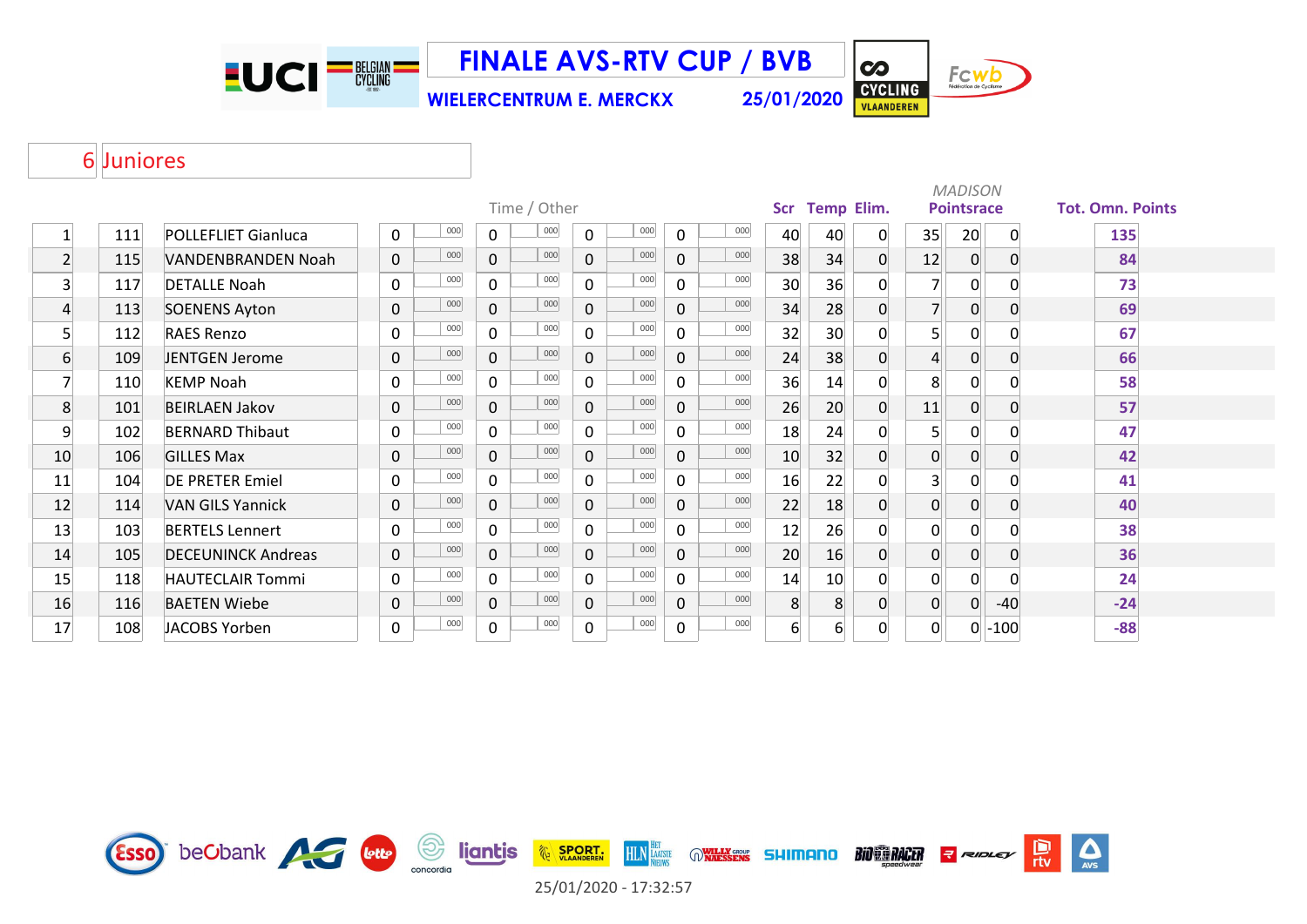**EUCI<sup>-BEGIAN</sub>**</sup>

**WIELERCENTRUM E. MERCKX 25/01/2020 FINALE AVS-RTV CUP / BVB**

 $\overline{\mathbf{c}}$ CYCLING

Fcwb

#### Juniores

|                |     |                            |                            |                |              |                |     |              |     |                  |                 |                   |                | <b>MADISON</b>    |              |                         |
|----------------|-----|----------------------------|----------------------------|----------------|--------------|----------------|-----|--------------|-----|------------------|-----------------|-------------------|----------------|-------------------|--------------|-------------------------|
|                |     |                            |                            |                | Time / Other |                |     |              |     | <b>Scr</b>       |                 | <b>Temp Elim.</b> |                | <b>Pointsrace</b> |              | <b>Tot. Omn. Points</b> |
| 1              | 111 | <b>POLLEFLIET Gianluca</b> | 000<br>0                   | 0              | 000          | 0              | 000 | 0            | 000 | 40               | 40              | 0                 | 35             | 20                | $\mathbf{0}$ | 135                     |
| $\mathbf{2}$   | 115 | VANDENBRANDEN Noah         | 000<br>$\mathbf 0$         | $\mathbf 0$    | 000          | $\overline{0}$ | 000 | $\mathbf 0$  | 000 | 38               | 34              | 0                 | 12             | $\mathbf 0$       | 0            | 84                      |
| 3              | 117 | <b>DETALLE Noah</b>        | 000<br>$\mathbf 0$         | $\mathbf 0$    | 000          | $\overline{0}$ | 000 | 0            | 000 | 30               | 36              | 0                 |                | 0                 |              | 73                      |
| $\overline{4}$ | 113 | <b>SOENENS Ayton</b>       | 000<br>$\mathbf 0$         | $\overline{0}$ | 000          | $\overline{0}$ | 000 | $\mathbf 0$  | 000 | 34               | 28              | 0                 | $\overline{7}$ | $\mathbf 0$       | 0            | 69                      |
| 5              | 112 | <b>RAES Renzo</b>          | 000<br>$\mathbf 0$         | $\mathbf 0$    | 000          | $\overline{0}$ | 000 | $\Omega$     | 000 | 32               | 30              | 0                 | 5 <sup>1</sup> | 0                 |              | 67                      |
| 6              | 109 | JENTGEN Jerome             | 000<br>$\pmb{0}$           | $\mathbf 0$    | 000          | $\overline{0}$ | 000 | $\mathbf 0$  | 000 | 24               | 38              | 0                 | $\overline{4}$ | $\mathbf 0$       | 0            | 66                      |
| 7              | 110 | <b>KEMP Noah</b>           | 000<br>$\mathbf 0$         | $\mathbf 0$    | 000          | $\mathbf{0}$   | 000 | $\Omega$     | 000 | 36               | 14              | 0                 | 8              | 0                 |              | 58                      |
| 8              | 101 | <b>BEIRLAEN Jakov</b>      | 000<br>$\mathbf 0$         | $\mathbf 0$    | 000          | $\mathbf 0$    | 000 | $\Omega$     | 000 | 26               | 20 <sup>°</sup> | 0                 | 11             | 0                 | 0            | 57                      |
| 9              | 102 | <b>BERNARD Thibaut</b>     | 000<br>0                   | $\mathbf 0$    | 000          | $\mathbf{0}$   | 000 | $\Omega$     | 000 | 18               | 24              | 0                 | 5 <sup>1</sup> | 0                 | O            | 47                      |
| 10             | 106 | <b>GILLES Max</b>          | 000<br>$\mathsf{O}\xspace$ | $\mathbf 0$    | 000          | $\mathbf{0}$   | 000 | $\mathbf{0}$ | 000 | 10               | 32              | $\overline{0}$    | $\overline{0}$ | $\mathbf 0$       | 0            | 42                      |
| 11             | 104 | <b>DE PRETER Emiel</b>     | 000<br>0                   | 0              | 000          | 0              | 000 | 0            | 000 | 16               | 22              | 0                 | 3 <sup>1</sup> | 0                 |              | 41                      |
| 12             | 114 | <b>VAN GILS Yannick</b>    | 000<br>$\mathsf{O}\xspace$ | $\mathbf 0$    | 000          | $\overline{0}$ | 000 | $\mathbf 0$  | 000 | 22               | 18              | 0                 | $\overline{0}$ | $\mathbf 0$       | 0            | 40                      |
| 13             | 103 | <b>BERTELS Lennert</b>     | 000<br>$\mathbf 0$         | $\mathbf 0$    | 000          | $\mathsf{O}$   | 000 | $\mathbf{0}$ | 000 | 12               | 26              | 0                 | $\mathbf{0}$   | 0                 |              | 38                      |
| 14             | 105 | <b>DECEUNINCK Andreas</b>  | 000<br>$\mathsf{O}\xspace$ | $\mathbf 0$    | 000          | $\overline{0}$ | 000 | $\mathbf 0$  | 000 | 20               | 16              | 0                 | $\overline{0}$ | $\mathbf 0$       | 0            | 36                      |
| 15             | 118 | <b>HAUTECLAIR Tommi</b>    | 000<br>0                   | $\mathbf 0$    | 000          | $\mathsf{O}$   | 000 | 0            | 000 | 14               | 10              | 0                 | $\overline{0}$ | $\mathbf 0$       |              | 24                      |
| 16             | 116 | <b>BAETEN Wiebe</b>        | 000<br>$\pmb{0}$           | $\mathbf 0$    | 000          | $\overline{0}$ | 000 | $\Omega$     | 000 | 8                | 8 <sup>1</sup>  | 0                 | $\overline{0}$ | $\overline{0}$    | $-40$        | $-24$                   |
| 17             | 108 | JACOBS Yorben              | 000<br>$\pmb{0}$           | 0              | 000          | 0              | 000 | 0            | 000 | $6 \overline{6}$ | 6 <sup>1</sup>  | 0                 | $\Omega$       | 0                 | $-100$       | $-88$                   |

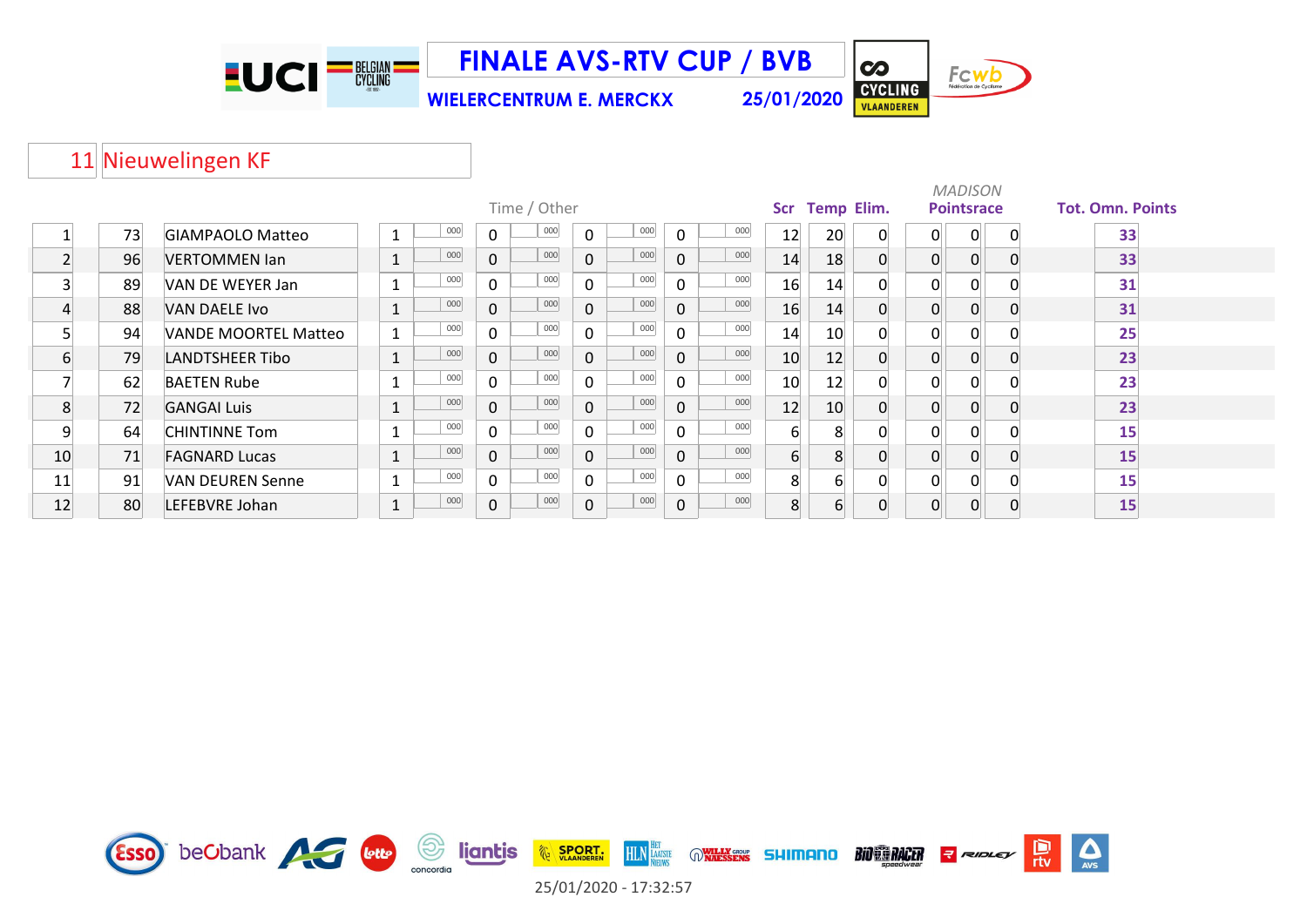

**FINALE AVS-RTV CUP / BVB**

**WIELERCENTRUM E. MERCKX 25/01/2020**



 $\overline{\mathbf{c}}$ 



#### 11 Nieuwelingen KF

|    |     |                         |                    |     |              |              |              |     |              |         |                  |                   |   |   | <b>MADISON</b>    |                         |
|----|-----|-------------------------|--------------------|-----|--------------|--------------|--------------|-----|--------------|---------|------------------|-------------------|---|---|-------------------|-------------------------|
|    |     |                         |                    |     |              | Time / Other |              |     |              |         | Scr              | <b>Temp Elim.</b> |   |   | <b>Pointsrace</b> | <b>Tot. Omn. Points</b> |
|    | 73  | <b>GIAMPAOLO Matteo</b> | 1                  | 000 | $\mathbf 0$  | 000          | $\mathbf 0$  | 000 | $\mathbf 0$  | 000     | 12               | 20                | 0 | 0 | 0                 | 33                      |
|    | 96  | <b>VERTOMMEN Ian</b>    | $\mathbf{1}$       | 000 | $\mathbf 0$  | 000          | $\mathbf{0}$ | 000 | $\mathbf 0$  | 000     | 14               | 18                | 0 | 0 | 0                 | 33                      |
| 3  | -89 | VAN DE WEYER Jan        | $\sim$             | 000 | $\mathsf{O}$ | 000          | $\Omega$     | 000 | $\Omega$     | $000\,$ | 16               | 14                |   | 0 | 0                 | 31                      |
|    | 88  | VAN DAELE Ivo           | $\mathbf{1}$<br>Ŧ. | 000 | $\mathbf 0$  | 000          | $\mathbf 0$  | 000 | $\mathbf{0}$ | 000     | 16               | 14                |   | 0 | 0                 | 31                      |
|    | 94  | VANDE MOORTEL Matteo    | $\mathbf{1}$       | 000 | $\mathbf 0$  | 000          | $\Omega$     | 000 | $\Omega$     | 000     | 14               | 10                | 0 | 0 | 0                 | 25                      |
| 6  | 79  | <b>LANDTSHEER Tibo</b>  | $\mathbf{1}$<br>Ŧ. | 000 | $\mathbf 0$  | 000          | $\mathbf{0}$ | 000 | $\mathbf{0}$ | 000     | 10               | 12                |   | 0 | 0                 | 23                      |
|    | 62  | <b>BAETEN Rube</b>      | $\mathbf{1}$       | 000 | $\mathbf 0$  | 000          | $\mathbf 0$  | 000 | $\mathbf 0$  | 000     | 10               | 12                |   | 0 | 0                 | 23                      |
| 8  | 72  | <b>GANGAI Luis</b>      | $\mathbf{1}$<br>ᆠ  | 000 | $\mathbf 0$  | 000          | $\mathbf{0}$ | 000 | $\mathbf{0}$ | 000     | 12               | 10                | 0 | 0 | 0                 | 23                      |
| 9  | 64  | <b>CHINTINNE Tom</b>    |                    | 000 | $\mathsf{O}$ | 000          | $\mathbf{0}$ | 000 | $\Omega$     | 000     | 6                | $\mathsf{R}$      |   | 0 | 0                 | 15                      |
| 10 | 71  | <b>FAGNARD Lucas</b>    | $\mathbf{A}$       | 000 | $\mathbf 0$  | 000          | $\Omega$     | 000 | $\mathbf{0}$ | 000     | $6 \overline{6}$ | 8                 |   | 0 | 0                 | 15                      |
| 11 | 91  | VAN DEUREN Senne        | 1                  | 000 | $\mathbf 0$  | 000          | $\Omega$     | 000 | $\Omega$     | 000     | 8                | 6                 |   | 0 | 0                 | 15                      |
| 12 | 80  | LEFEBVRE Johan          | T,                 | 000 | 0            | 000          | $\mathbf 0$  | 000 | $\mathbf 0$  | 000     | 8                | $\overline{6}$    |   | 0 | 0                 | 15                      |

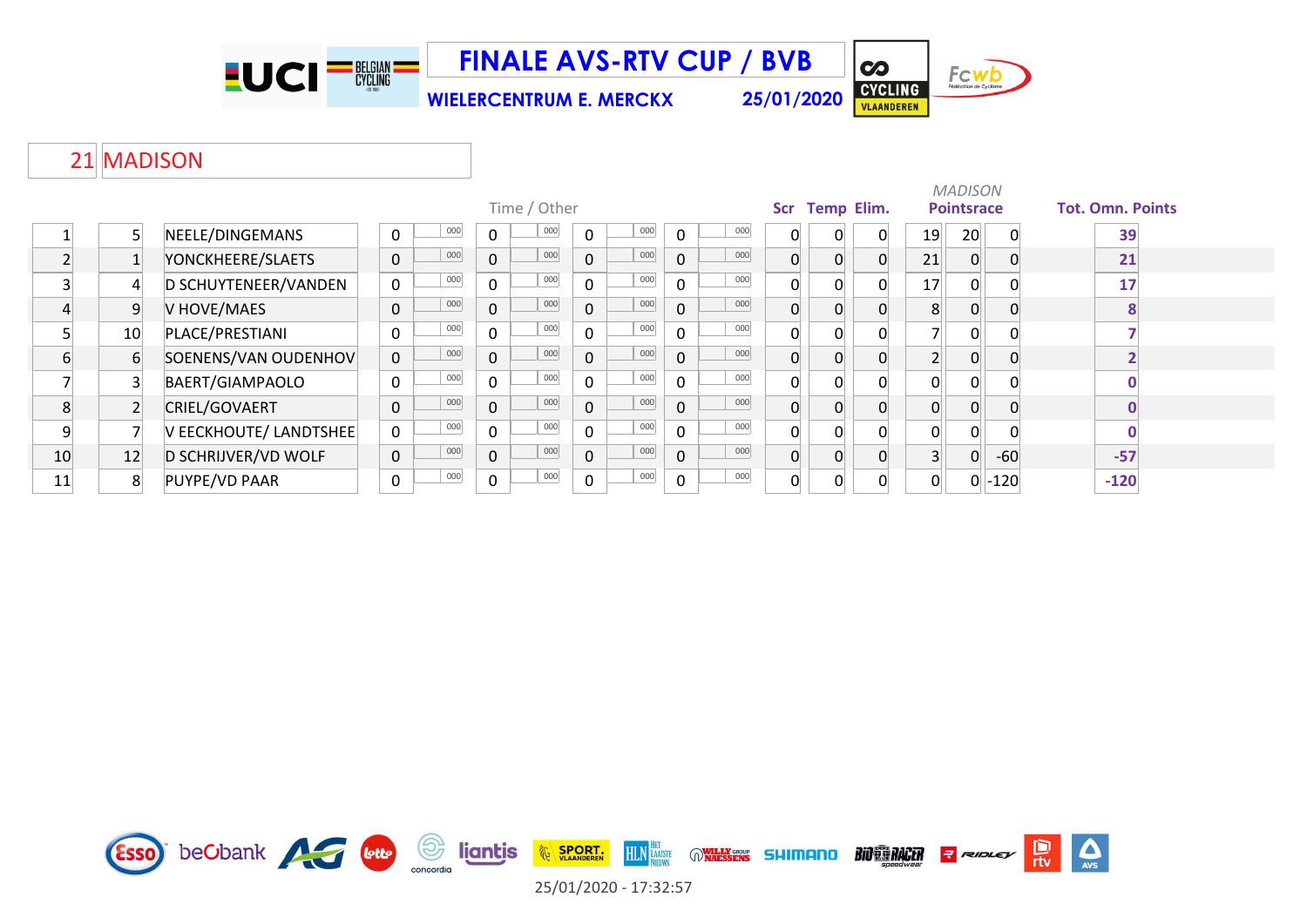

**FINALE AVS-RTV CUP / BVB**

**WIELERCENTRUM E. MERCKX 25/01/2020**

Fcwb CYCLING

 $\overline{\mathbf{c}}$ 

#### 21 MADISON

|                          |                 |                        |                    |              |              |             |     |              |     |     |                   |          |                | <b>MADISON</b>    |        |                         |
|--------------------------|-----------------|------------------------|--------------------|--------------|--------------|-------------|-----|--------------|-----|-----|-------------------|----------|----------------|-------------------|--------|-------------------------|
|                          |                 |                        |                    |              | Time / Other |             |     |              |     | Scr | <b>Temp Elim.</b> |          |                | <b>Pointsrace</b> |        | <b>Tot. Omn. Points</b> |
|                          |                 | NEELE/DINGEMANS        | 000<br>0           | $\mathbf{0}$ | 000          | $\Omega$    | 000 | $\mathbf{0}$ | 000 |     | $\Omega$          | 0        | 19             | 20                |        | 39                      |
| $\overline{\phantom{0}}$ |                 | YONCKHEERE/SLAETS      | 000<br>$\mathbf 0$ | $\mathbf{0}$ | 000          | $\mathbf 0$ | 000 | 0            | 000 |     | $\Omega$          |          | 21             | 0                 |        | 21                      |
| C                        | $\overline{4}$  | D SCHUYTENEER/VANDEN   | 000<br>$\mathbf 0$ | $\mathbf 0$  | 000          | $\mathbf 0$ | 000 | $\mathbf 0$  | 000 |     | $\overline{0}$    |          | 17             | 0                 |        | 17                      |
|                          | 9               | V HOVE/MAES            | 000<br>$\pmb{0}$   | $\mathbf 0$  | 000          | $\mathbf 0$ | 000 | $\mathbf 0$  | 000 | 0   | $\overline{0}$    |          | 8              | 0                 |        |                         |
|                          | 10 <sup>1</sup> | PLACE/PRESTIANI        | 000<br>$\pmb{0}$   | 0            | 000          | $\mathbf 0$ | 000 | 0            | 000 |     | $\Omega$          |          |                | 0                 |        |                         |
| 6                        | 6               | SOENENS/VAN OUDENHOV   | $\mathbf 0$<br>000 | $\mathbf 0$  | 000          | $\mathbf 0$ | 000 | $\mathbf 0$  | 000 |     | $\Omega$          |          |                |                   |        |                         |
|                          |                 | BAERT/GIAMPAOLO        | 000<br>0           | $\mathbf 0$  | 000          | $\mathbf 0$ | 000 | 0            | 000 |     | $\Omega$          |          | $\Omega$       | 0                 |        |                         |
| 8                        |                 | CRIEL/GOVAERT          | 000<br>$\pmb{0}$   | $\mathbf 0$  | 000          | $\mathbf 0$ | 000 | $\mathbf 0$  | 000 | 0   | $\Omega$          |          | $\Omega$       | 0                 |        |                         |
| 9                        |                 | V EECKHOUTE/ LANDTSHEE | 000<br>$\mathbf 0$ | $\mathbf 0$  | 000          | $\mathbf 0$ | 000 | 0            | 000 |     | $\Omega$          |          | $\Omega$       | 0                 |        |                         |
| 10                       | 12              | D SCHRIJVER/VD WOLF    | 000<br>$\pmb{0}$   | $\mathbf 0$  | 000          | $\mathbf 0$ | 000 | $\mathbf 0$  | 000 |     | $\Omega$          |          | $\overline{3}$ | 0                 | $-60$  | $-57$                   |
| 11                       | 8               | PUYPE/VD PAAR          | 000<br>$\pmb{0}$   | $\mathbf 0$  | 000          | $\mathbf 0$ | 000 | $\mathbf 0$  | 000 |     | $\Omega$          | $\Omega$ | $\Omega$       | 0                 | $-120$ | $-120$                  |

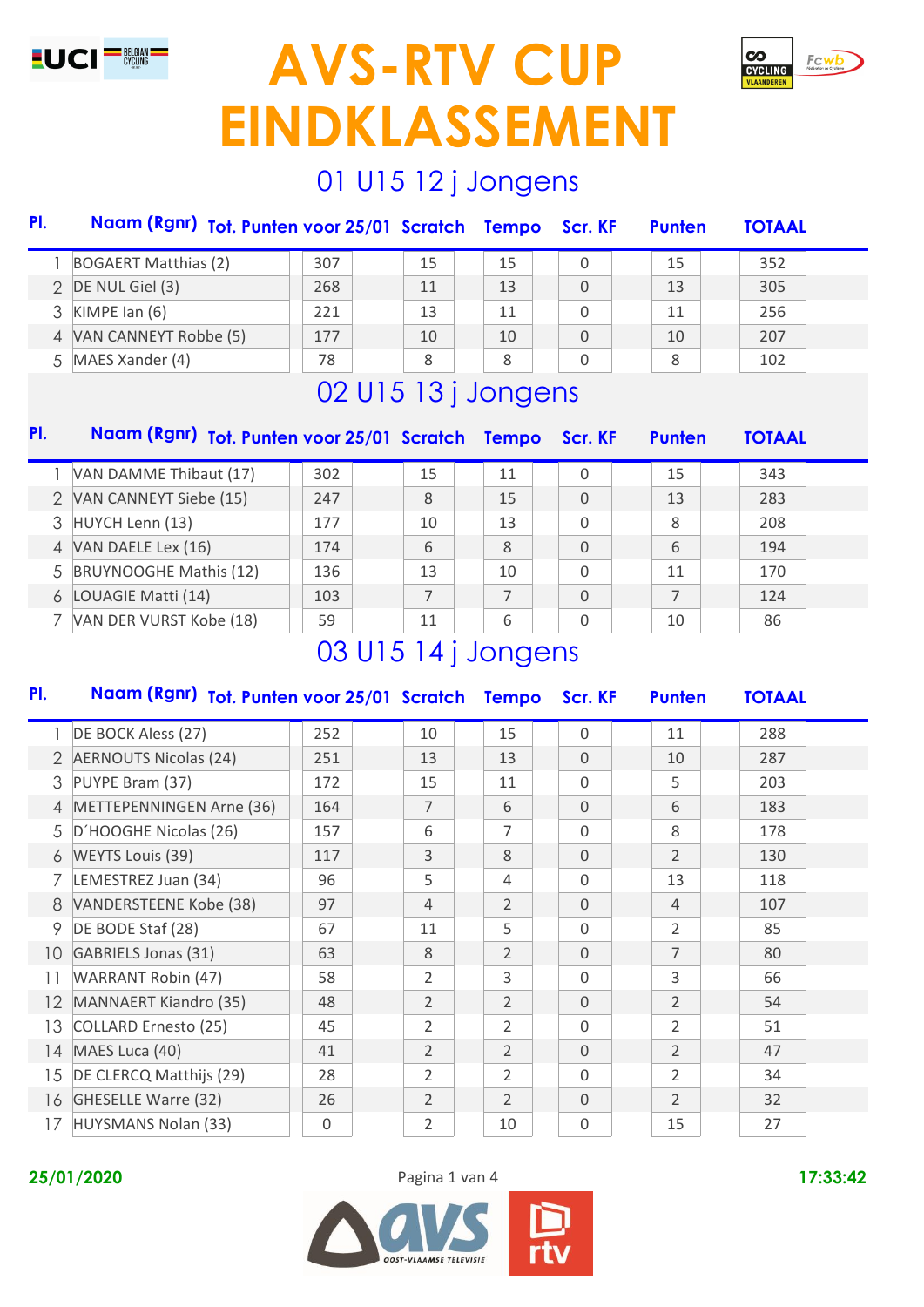



### 01 U15 12 j Jongens

| PI.                      | Naam (Rgnr) Tot. Punten voor 25/01 Scratch Tempo Scr. KF |     |    |    |   | <b>Punten</b> | <b>TOTAAL</b> |  |
|--------------------------|----------------------------------------------------------|-----|----|----|---|---------------|---------------|--|
|                          | <b>BOGAERT Matthias (2)</b>                              | 307 | 15 | 15 | 0 | 15            | 352           |  |
|                          | 2 DE NUL Giel (3)                                        | 268 | 11 | 13 | 0 | 13            | 305           |  |
|                          | 3 KIMPE Ian (6)                                          | 221 | 13 | 11 | 0 | 11            | 256           |  |
| $\overline{\mathcal{A}}$ | VAN CANNEYT Robbe (5)                                    | 177 | 10 | 10 | 0 | 10            | 207           |  |
| .5                       | MAES Xander (4)                                          | 78  | 8  | 8  | 0 | 8             | 102           |  |

# 02 U15 13 j Jongens

| PI.           | Naam (Rgnr) Tot. Punten voor 25/01 Scratch Tempo |                                                                                                                                                                                                                                                                                                                                                                                     |                |    | Scr. KF  | <b>Punten</b> | <b>TOTAAL</b> |
|---------------|--------------------------------------------------|-------------------------------------------------------------------------------------------------------------------------------------------------------------------------------------------------------------------------------------------------------------------------------------------------------------------------------------------------------------------------------------|----------------|----|----------|---------------|---------------|
|               | VAN DAMME Thibaut (17)                           | 302                                                                                                                                                                                                                                                                                                                                                                                 | 15             | 11 | $\Omega$ | 15            | 343           |
| $\mathcal{P}$ | VAN CANNEYT Siebe (15)                           | 247                                                                                                                                                                                                                                                                                                                                                                                 | 8              | 15 | $\Omega$ | 13            | 283           |
| 3             | HUYCH Lenn (13)                                  | 177                                                                                                                                                                                                                                                                                                                                                                                 | 10             | 13 | $\Omega$ | 8             | 208           |
| 4             | VAN DAELE Lex (16)                               | 174                                                                                                                                                                                                                                                                                                                                                                                 | 6              | 8  | 0        | 6             | 194           |
| 5             | <b>BRUYNOOGHE Mathis (12)</b>                    | 136                                                                                                                                                                                                                                                                                                                                                                                 | 13             | 10 | $\Omega$ | 11            | 170           |
| 6             | LOUAGIE Matti (14)                               | 103                                                                                                                                                                                                                                                                                                                                                                                 | $\overline{7}$ | 7  | $\Omega$ | 7             | 124           |
|               | VAN DER VURST Kobe (18)                          | 59                                                                                                                                                                                                                                                                                                                                                                                  | 11             | 6  | O        | 10            | 86            |
|               |                                                  | $\bigcap \bigcap$ iii $\bigcap$ $\bigcap$ $\bigcap$ $\bigcap$ $\bigcap$ $\bigcap$ $\bigcap$ $\bigcap$ $\bigcap$ $\bigcap$ $\bigcap$ $\bigcap$ $\bigcap$ $\bigcap$ $\bigcap$ $\bigcap$ $\bigcap$ $\bigcap$ $\bigcap$ $\bigcap$ $\bigcap$ $\bigcap$ $\bigcap$ $\bigcap$ $\bigcap$ $\bigcap$ $\bigcap$ $\bigcap$ $\bigcap$ $\bigcap$ $\bigcap$ $\bigcap$ $\bigcap$ $\bigcap$ $\bigcap$ |                |    |          |               |               |

### 03 U15 14 j Jongens

|                              |                              |                |                | Scr. KF     | <b>Punten</b>                                    | <b>TOTAAL</b> |  |
|------------------------------|------------------------------|----------------|----------------|-------------|--------------------------------------------------|---------------|--|
| DE BOCK Aless (27)           | 252                          | 10             | 15             | $\Omega$    | 11                                               | 288           |  |
|                              | 251                          | 13             | 13             | $\Omega$    | 10                                               | 287           |  |
| PUYPE Bram (37)              | 172                          | 15             | 11             | $\Omega$    | 5                                                | 203           |  |
| METTEPENNINGEN Arne (36)     | 164                          | $\overline{7}$ | 6              | $\Omega$    | 6                                                | 183           |  |
| D'HOOGHE Nicolas (26)        | 157                          | 6              | 7              | $\Omega$    | 8                                                | 178           |  |
| <b>WEYTS Louis (39)</b>      | 117                          | 3              | 8              | $\Omega$    | $\overline{2}$                                   | 130           |  |
| LEMESTREZ Juan (34)          | 96                           | 5              | 4              | $\Omega$    | 13                                               | 118           |  |
| VANDERSTEENE Kobe (38)       | 97                           | 4              | $\overline{2}$ | $\Omega$    | 4                                                | 107           |  |
| DE BODE Staf (28)            | 67                           | 11             | 5              | $\Omega$    | 2                                                | 85            |  |
| <b>GABRIELS Jonas (31)</b>   | 63                           | 8              | $\overline{2}$ | $\Omega$    | $\overline{7}$                                   | 80            |  |
| <b>WARRANT Robin (47)</b>    | 58                           | $\overline{2}$ | 3              | $\Omega$    | 3                                                | 66            |  |
| <b>MANNAERT Kiandro (35)</b> | 48                           | $\overline{2}$ | $\overline{2}$ | $\Omega$    | $\overline{2}$                                   | 54            |  |
| COLLARD Ernesto (25)         | 45                           | $\overline{2}$ | 2              | $\Omega$    | $\overline{2}$                                   | 51            |  |
| MAES Luca (40)               | 41                           | $\overline{2}$ | $\overline{2}$ | $\Omega$    | $\overline{2}$                                   | 47            |  |
| DE CLERCQ Matthijs (29)      | 28                           | $\overline{2}$ | 2              | $\Omega$    | $\overline{2}$                                   | 34            |  |
| GHESELLE Warre (32)          | 26                           | $\overline{2}$ | $\overline{2}$ | $\Omega$    | $\overline{2}$                                   | 32            |  |
| HUYSMANS Nolan (33)          | 0                            | 2              | 10             | $\mathbf 0$ | 15                                               | 27            |  |
|                              | <b>AERNOUTS Nicolas (24)</b> |                |                |             | Naam (Rgnr) Tot. Punten voor 25/01 Scratch Tempo |               |  |



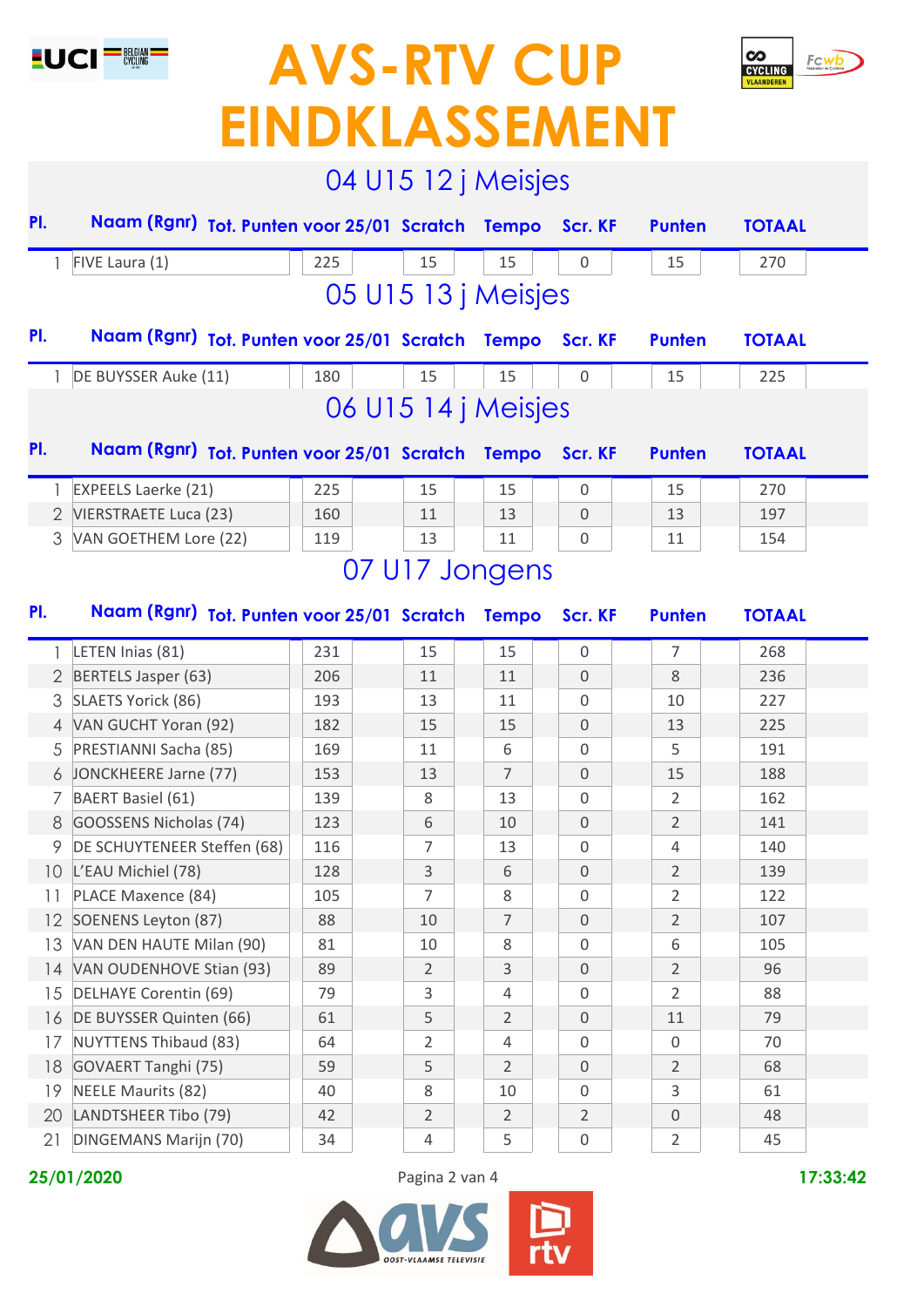



| PI. | 04 U15 12 j Meisjes<br>Naam (Rgnr) Tot. Punten voor 25/01 Scratch Tempo<br>Scr. KF<br><b>Punten</b><br><b>TOTAAL</b><br>FIVE Laura (1)<br>225<br>15<br>15<br>0<br>270<br>15<br>05 U15 13 j Meisjes<br>PI.<br>Naam (Rgnr) Tot. Punten voor 25/01 Scratch Tempo<br><b>TOTAAL</b><br>Scr. KF<br><b>Punten</b><br>DE BUYSSER Auke (11)<br>180<br>15<br>15<br>0<br>15<br>225<br>06 U15 14 j Meisjes<br>PI.<br>Naam (Rgnr) Tot. Punten voor 25/01 Scratch<br><b>Tempo</b><br><b>TOTAAL</b><br>Scr. KF<br><b>Punten</b><br><b>EXPEELS Laerke (21)</b><br>225<br>15<br>15<br>$\mathbf 0$<br>15<br>270<br>2 VIERSTRAETE Luca (23)<br>13<br>13<br>197<br>160<br>11<br>$\mathbf 0$<br>3<br>VAN GOETHEM Lore (22)<br>119<br>13<br>11<br>0<br>11<br>154<br>07 U17 Jongens<br>Naam (Rgnr) Tot. Punten voor 25/01 Scratch<br><b>Tempo</b><br>Scr. KF<br><b>Punten</b><br><b>TOTAAL</b><br>LETEN Inias (81)<br>15<br>15<br>268<br>231<br>$\mathbf 0$<br>7<br>$\overline{2}$<br>BERTELS Jasper (63)<br>206<br>11<br>11<br>$\mathbf 0$<br>8<br>236<br>SLAETS Yorick (86)<br>3<br>193<br>13<br>11<br>$\mathbf 0$<br>10<br>227<br>4 VAN GUCHT Yoran (92)<br>182<br>15<br>15<br>$\mathbf 0$<br>13<br>225<br>PRESTIANNI Sacha (85)<br>169<br>6<br>5<br>191<br>5<br>11<br>0<br>JONCKHEERE Jarne (77)<br>188<br>153<br>13<br>7<br>0<br>15<br>6<br><b>BAERT Basiel (61)</b><br>8<br>$\mathbf 0$<br>2<br>162<br>7<br>139<br>13<br>GOOSSENS Nicholas (74)<br>2<br>8<br>123<br>6<br>10<br>$\mathbf 0$<br>141<br>DE SCHUYTENEER Steffen (68)<br>116<br>13<br>140<br>0<br>7<br>4<br>L'EAU Michiel (78)<br>128<br>3<br>6<br>$\mathbf 0$<br>$\overline{2}$<br>139<br>10 <sup>°</sup> |     |  |                |  |                |  |                  |  |                  |  |     |  |  |
|-----|------------------------------------------------------------------------------------------------------------------------------------------------------------------------------------------------------------------------------------------------------------------------------------------------------------------------------------------------------------------------------------------------------------------------------------------------------------------------------------------------------------------------------------------------------------------------------------------------------------------------------------------------------------------------------------------------------------------------------------------------------------------------------------------------------------------------------------------------------------------------------------------------------------------------------------------------------------------------------------------------------------------------------------------------------------------------------------------------------------------------------------------------------------------------------------------------------------------------------------------------------------------------------------------------------------------------------------------------------------------------------------------------------------------------------------------------------------------------------------------------------------------------------------------------------------------------------------------------------------------------------------------------------|-----|--|----------------|--|----------------|--|------------------|--|------------------|--|-----|--|--|
|     |                                                                                                                                                                                                                                                                                                                                                                                                                                                                                                                                                                                                                                                                                                                                                                                                                                                                                                                                                                                                                                                                                                                                                                                                                                                                                                                                                                                                                                                                                                                                                                                                                                                      |     |  |                |  |                |  |                  |  |                  |  |     |  |  |
|     |                                                                                                                                                                                                                                                                                                                                                                                                                                                                                                                                                                                                                                                                                                                                                                                                                                                                                                                                                                                                                                                                                                                                                                                                                                                                                                                                                                                                                                                                                                                                                                                                                                                      |     |  |                |  |                |  |                  |  |                  |  |     |  |  |
|     |                                                                                                                                                                                                                                                                                                                                                                                                                                                                                                                                                                                                                                                                                                                                                                                                                                                                                                                                                                                                                                                                                                                                                                                                                                                                                                                                                                                                                                                                                                                                                                                                                                                      |     |  |                |  |                |  |                  |  |                  |  |     |  |  |
|     |                                                                                                                                                                                                                                                                                                                                                                                                                                                                                                                                                                                                                                                                                                                                                                                                                                                                                                                                                                                                                                                                                                                                                                                                                                                                                                                                                                                                                                                                                                                                                                                                                                                      |     |  |                |  |                |  |                  |  |                  |  |     |  |  |
|     |                                                                                                                                                                                                                                                                                                                                                                                                                                                                                                                                                                                                                                                                                                                                                                                                                                                                                                                                                                                                                                                                                                                                                                                                                                                                                                                                                                                                                                                                                                                                                                                                                                                      |     |  |                |  |                |  |                  |  |                  |  |     |  |  |
|     |                                                                                                                                                                                                                                                                                                                                                                                                                                                                                                                                                                                                                                                                                                                                                                                                                                                                                                                                                                                                                                                                                                                                                                                                                                                                                                                                                                                                                                                                                                                                                                                                                                                      |     |  |                |  |                |  |                  |  |                  |  |     |  |  |
|     |                                                                                                                                                                                                                                                                                                                                                                                                                                                                                                                                                                                                                                                                                                                                                                                                                                                                                                                                                                                                                                                                                                                                                                                                                                                                                                                                                                                                                                                                                                                                                                                                                                                      |     |  |                |  |                |  |                  |  |                  |  |     |  |  |
|     |                                                                                                                                                                                                                                                                                                                                                                                                                                                                                                                                                                                                                                                                                                                                                                                                                                                                                                                                                                                                                                                                                                                                                                                                                                                                                                                                                                                                                                                                                                                                                                                                                                                      |     |  |                |  |                |  |                  |  |                  |  |     |  |  |
|     |                                                                                                                                                                                                                                                                                                                                                                                                                                                                                                                                                                                                                                                                                                                                                                                                                                                                                                                                                                                                                                                                                                                                                                                                                                                                                                                                                                                                                                                                                                                                                                                                                                                      |     |  |                |  |                |  |                  |  |                  |  |     |  |  |
|     |                                                                                                                                                                                                                                                                                                                                                                                                                                                                                                                                                                                                                                                                                                                                                                                                                                                                                                                                                                                                                                                                                                                                                                                                                                                                                                                                                                                                                                                                                                                                                                                                                                                      |     |  |                |  |                |  |                  |  |                  |  |     |  |  |
|     |                                                                                                                                                                                                                                                                                                                                                                                                                                                                                                                                                                                                                                                                                                                                                                                                                                                                                                                                                                                                                                                                                                                                                                                                                                                                                                                                                                                                                                                                                                                                                                                                                                                      |     |  |                |  |                |  |                  |  |                  |  |     |  |  |
|     |                                                                                                                                                                                                                                                                                                                                                                                                                                                                                                                                                                                                                                                                                                                                                                                                                                                                                                                                                                                                                                                                                                                                                                                                                                                                                                                                                                                                                                                                                                                                                                                                                                                      |     |  |                |  |                |  |                  |  |                  |  |     |  |  |
|     |                                                                                                                                                                                                                                                                                                                                                                                                                                                                                                                                                                                                                                                                                                                                                                                                                                                                                                                                                                                                                                                                                                                                                                                                                                                                                                                                                                                                                                                                                                                                                                                                                                                      |     |  |                |  |                |  |                  |  |                  |  |     |  |  |
| PI. |                                                                                                                                                                                                                                                                                                                                                                                                                                                                                                                                                                                                                                                                                                                                                                                                                                                                                                                                                                                                                                                                                                                                                                                                                                                                                                                                                                                                                                                                                                                                                                                                                                                      |     |  |                |  |                |  |                  |  |                  |  |     |  |  |
|     |                                                                                                                                                                                                                                                                                                                                                                                                                                                                                                                                                                                                                                                                                                                                                                                                                                                                                                                                                                                                                                                                                                                                                                                                                                                                                                                                                                                                                                                                                                                                                                                                                                                      |     |  |                |  |                |  |                  |  |                  |  |     |  |  |
|     |                                                                                                                                                                                                                                                                                                                                                                                                                                                                                                                                                                                                                                                                                                                                                                                                                                                                                                                                                                                                                                                                                                                                                                                                                                                                                                                                                                                                                                                                                                                                                                                                                                                      |     |  |                |  |                |  |                  |  |                  |  |     |  |  |
|     |                                                                                                                                                                                                                                                                                                                                                                                                                                                                                                                                                                                                                                                                                                                                                                                                                                                                                                                                                                                                                                                                                                                                                                                                                                                                                                                                                                                                                                                                                                                                                                                                                                                      |     |  |                |  |                |  |                  |  |                  |  |     |  |  |
|     |                                                                                                                                                                                                                                                                                                                                                                                                                                                                                                                                                                                                                                                                                                                                                                                                                                                                                                                                                                                                                                                                                                                                                                                                                                                                                                                                                                                                                                                                                                                                                                                                                                                      |     |  |                |  |                |  |                  |  |                  |  |     |  |  |
|     |                                                                                                                                                                                                                                                                                                                                                                                                                                                                                                                                                                                                                                                                                                                                                                                                                                                                                                                                                                                                                                                                                                                                                                                                                                                                                                                                                                                                                                                                                                                                                                                                                                                      |     |  |                |  |                |  |                  |  |                  |  |     |  |  |
|     |                                                                                                                                                                                                                                                                                                                                                                                                                                                                                                                                                                                                                                                                                                                                                                                                                                                                                                                                                                                                                                                                                                                                                                                                                                                                                                                                                                                                                                                                                                                                                                                                                                                      |     |  |                |  |                |  |                  |  |                  |  |     |  |  |
|     |                                                                                                                                                                                                                                                                                                                                                                                                                                                                                                                                                                                                                                                                                                                                                                                                                                                                                                                                                                                                                                                                                                                                                                                                                                                                                                                                                                                                                                                                                                                                                                                                                                                      |     |  |                |  |                |  |                  |  |                  |  |     |  |  |
|     |                                                                                                                                                                                                                                                                                                                                                                                                                                                                                                                                                                                                                                                                                                                                                                                                                                                                                                                                                                                                                                                                                                                                                                                                                                                                                                                                                                                                                                                                                                                                                                                                                                                      |     |  |                |  |                |  |                  |  |                  |  |     |  |  |
|     |                                                                                                                                                                                                                                                                                                                                                                                                                                                                                                                                                                                                                                                                                                                                                                                                                                                                                                                                                                                                                                                                                                                                                                                                                                                                                                                                                                                                                                                                                                                                                                                                                                                      |     |  |                |  |                |  |                  |  |                  |  |     |  |  |
|     |                                                                                                                                                                                                                                                                                                                                                                                                                                                                                                                                                                                                                                                                                                                                                                                                                                                                                                                                                                                                                                                                                                                                                                                                                                                                                                                                                                                                                                                                                                                                                                                                                                                      |     |  |                |  |                |  |                  |  |                  |  |     |  |  |
| 11  | PLACE Maxence (84)                                                                                                                                                                                                                                                                                                                                                                                                                                                                                                                                                                                                                                                                                                                                                                                                                                                                                                                                                                                                                                                                                                                                                                                                                                                                                                                                                                                                                                                                                                                                                                                                                                   | 105 |  | 7              |  | 8              |  | $\mathbf 0$      |  | 2                |  | 122 |  |  |
| 12  | SOENENS Leyton (87)                                                                                                                                                                                                                                                                                                                                                                                                                                                                                                                                                                                                                                                                                                                                                                                                                                                                                                                                                                                                                                                                                                                                                                                                                                                                                                                                                                                                                                                                                                                                                                                                                                  | 88  |  | 10             |  | 7              |  | 0                |  | $\overline{2}$   |  | 107 |  |  |
| 13  | VAN DEN HAUTE Milan (90)                                                                                                                                                                                                                                                                                                                                                                                                                                                                                                                                                                                                                                                                                                                                                                                                                                                                                                                                                                                                                                                                                                                                                                                                                                                                                                                                                                                                                                                                                                                                                                                                                             | 81  |  | 10             |  | 8              |  | 0                |  | 6                |  | 105 |  |  |
| 14  | VAN OUDENHOVE Stian (93)                                                                                                                                                                                                                                                                                                                                                                                                                                                                                                                                                                                                                                                                                                                                                                                                                                                                                                                                                                                                                                                                                                                                                                                                                                                                                                                                                                                                                                                                                                                                                                                                                             | 89  |  | 2              |  | 3              |  | $\mathbf 0$      |  | $\overline{2}$   |  | 96  |  |  |
| 15  | DELHAYE Corentin (69)                                                                                                                                                                                                                                                                                                                                                                                                                                                                                                                                                                                                                                                                                                                                                                                                                                                                                                                                                                                                                                                                                                                                                                                                                                                                                                                                                                                                                                                                                                                                                                                                                                | 79  |  | 3              |  | 4              |  | $\mathbf 0$      |  | $\overline{2}$   |  | 88  |  |  |
| 16  | DE BUYSSER Quinten (66)                                                                                                                                                                                                                                                                                                                                                                                                                                                                                                                                                                                                                                                                                                                                                                                                                                                                                                                                                                                                                                                                                                                                                                                                                                                                                                                                                                                                                                                                                                                                                                                                                              | 61  |  | 5              |  | $\overline{2}$ |  | $\mathbf 0$      |  | 11               |  | 79  |  |  |
| 17  | <b>NUYTTENS Thibaud (83)</b>                                                                                                                                                                                                                                                                                                                                                                                                                                                                                                                                                                                                                                                                                                                                                                                                                                                                                                                                                                                                                                                                                                                                                                                                                                                                                                                                                                                                                                                                                                                                                                                                                         | 64  |  | 2              |  | 4              |  | $\mathbf 0$      |  | $\mathbf 0$      |  | 70  |  |  |
| 18  | GOVAERT Tanghi (75)                                                                                                                                                                                                                                                                                                                                                                                                                                                                                                                                                                                                                                                                                                                                                                                                                                                                                                                                                                                                                                                                                                                                                                                                                                                                                                                                                                                                                                                                                                                                                                                                                                  | 59  |  | 5              |  | $\overline{2}$ |  | $\mathbf 0$      |  | $\overline{2}$   |  | 68  |  |  |
| 19  | <b>NEELE Maurits (82)</b>                                                                                                                                                                                                                                                                                                                                                                                                                                                                                                                                                                                                                                                                                                                                                                                                                                                                                                                                                                                                                                                                                                                                                                                                                                                                                                                                                                                                                                                                                                                                                                                                                            | 40  |  | 8              |  | 10             |  | 0                |  | 3                |  | 61  |  |  |
| 20  | LANDTSHEER Tibo (79)                                                                                                                                                                                                                                                                                                                                                                                                                                                                                                                                                                                                                                                                                                                                                                                                                                                                                                                                                                                                                                                                                                                                                                                                                                                                                                                                                                                                                                                                                                                                                                                                                                 | 42  |  | $\overline{2}$ |  | $\overline{2}$ |  | $\overline{2}$   |  | $\boldsymbol{0}$ |  | 48  |  |  |
| 21  | DINGEMANS Marijn (70)                                                                                                                                                                                                                                                                                                                                                                                                                                                                                                                                                                                                                                                                                                                                                                                                                                                                                                                                                                                                                                                                                                                                                                                                                                                                                                                                                                                                                                                                                                                                                                                                                                | 34  |  | 4              |  | 5              |  | $\boldsymbol{0}$ |  | $\overline{2}$   |  | 45  |  |  |

**25/01/2020** Pagina 2 van 4 **17:33:42**



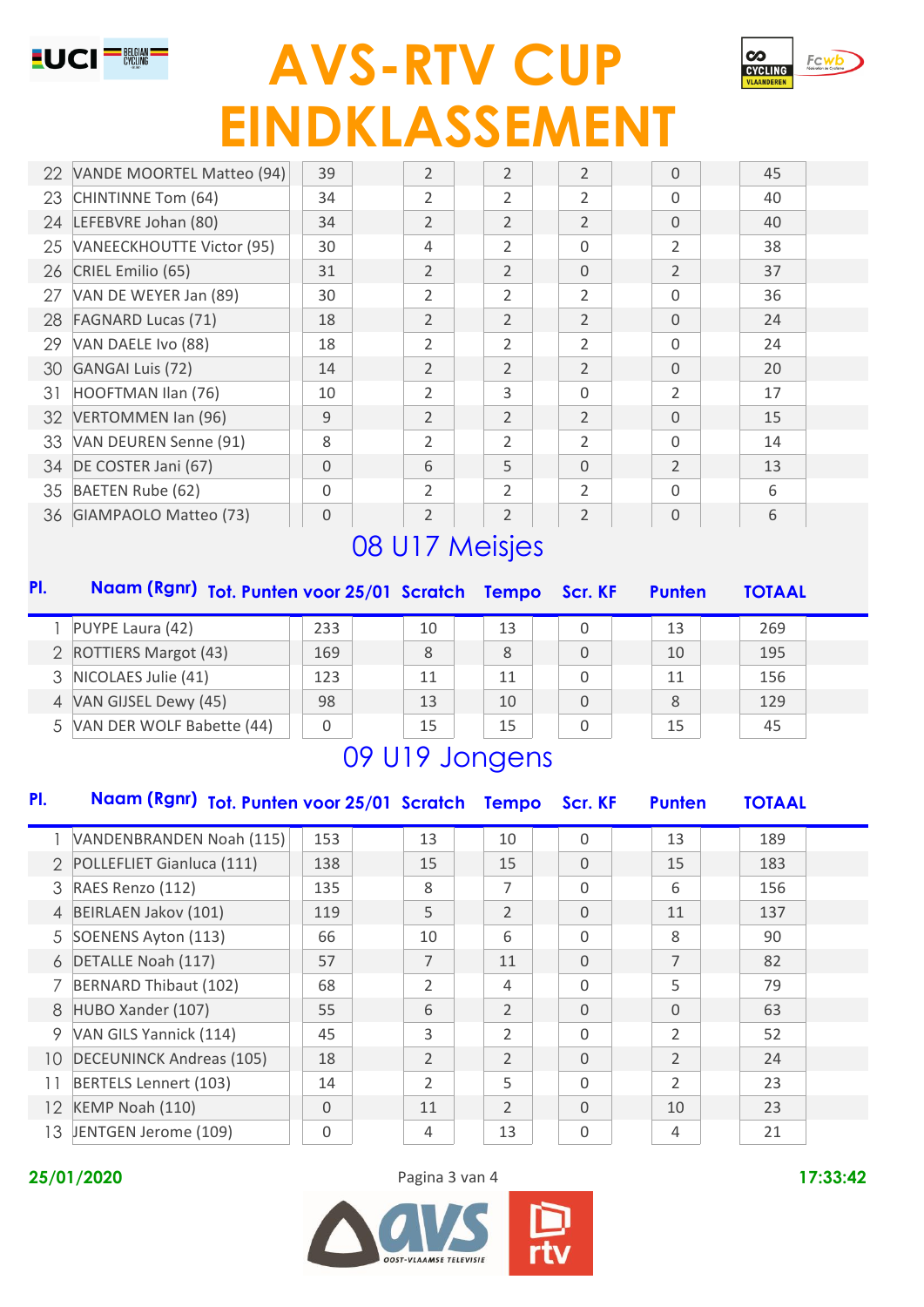



|    | 22 VANDE MOORTEL Matteo (94) | 39 | $\overline{2}$ | $\overline{2}$ | $\overline{2}$ | $\Omega$       | 45 |  |
|----|------------------------------|----|----------------|----------------|----------------|----------------|----|--|
| 23 | CHINTINNE Tom (64)           | 34 | 2              | 2              | 2              | $\Omega$       | 40 |  |
| 24 | LEFEBVRE Johan (80)          | 34 | $\overline{2}$ | 2              | $\overline{2}$ | $\Omega$       | 40 |  |
|    | 25 VANEECKHOUTTE Victor (95) | 30 | 4              | 2              | 0              | $\overline{2}$ | 38 |  |
| 26 | CRIEL Emilio (65)            | 31 | $\overline{2}$ | 2              | 0              | $\overline{2}$ | 37 |  |
| 27 | VAN DE WEYER Jan (89)        | 30 | 2              | 2              | 2              | $\Omega$       | 36 |  |
| 28 | <b>FAGNARD Lucas (71)</b>    | 18 | $\overline{2}$ | 2              | $\overline{2}$ | $\Omega$       | 24 |  |
| 29 | VAN DAELE Ivo (88)           | 18 | 2              | 2              | $\overline{2}$ | $\Omega$       | 24 |  |
| 30 | <b>GANGAI Luis (72)</b>      | 14 | $\overline{2}$ | 2              | $\overline{2}$ | $\Omega$       | 20 |  |
| 31 | HOOFTMAN Ilan (76)           | 10 | 2              | 3              | 0              | 2              | 17 |  |
| 32 | VERTOMMEN Ian (96)           | 9  | $\overline{2}$ | 2              | $\overline{2}$ | $\Omega$       | 15 |  |
|    | 33 VAN DEUREN Senne (91)     | 8  | 2              | 2              | $\overline{2}$ | $\Omega$       | 14 |  |
| 34 | DE COSTER Jani (67)          | 0  | 6              | 5              | $\Omega$       | $\overline{2}$ | 13 |  |
|    | 35 BAETEN Rube (62)          | 0  | 2              | 2              | 2              | $\Omega$       | 6  |  |
|    | 36 GIAMPAOLO Matteo (73)     | 0  | $\overline{2}$ | 2              | $\overline{2}$ | $\Omega$       | 6  |  |

# 08 U17 Meisjes

| PI.           | Naam (Rgnr) Tot. Punten voor 25/01 Scratch Tempo Scr. KF |     |    |    |   | <b>Punten</b> | <b>TOTAAL</b> |  |
|---------------|----------------------------------------------------------|-----|----|----|---|---------------|---------------|--|
|               | PUYPE Laura (42)                                         | 233 | 10 | 13 | 0 | 13            | 269           |  |
| $\mathcal{P}$ | <b>ROTTIERS Margot (43)</b>                              | 169 | 8  | 8  | 0 | 10            | 195           |  |
| 3             | NICOLAES Julie (41)                                      | 123 | 11 | 11 | 0 | 11            | 156           |  |
| 4             | VAN GIJSEL Dewy (45)                                     | 98  | 13 | 10 | 0 | 8             | 129           |  |
| 5             | VAN DER WOLF Babette (44)                                | 0   | 15 | 15 | 0 | 15            | 45            |  |
|               |                                                          |     |    |    |   |               |               |  |

# 09 U19 Jongens

| PI.           | Naam (Rgnr) Tot. Punten voor 25/01 Scratch |             |                | <b>Tempo</b>   | Scr. KF  | <b>Punten</b>  | <b>TOTAAL</b> |  |
|---------------|--------------------------------------------|-------------|----------------|----------------|----------|----------------|---------------|--|
|               | VANDENBRANDEN Noah (115)                   | 153         | 13             | 10             | $\Omega$ | 13             | 189           |  |
| $\mathcal{P}$ | POLLEFLIET Gianluca (111)                  | 138         | 15             | 15             | $\Omega$ | 15             | 183           |  |
| 3             | RAES Renzo (112)                           | 135         | 8              | 7              | $\Omega$ | 6              | 156           |  |
| 4             | BEIRLAEN Jakov (101)                       | 119         | 5              | $\overline{2}$ | $\Omega$ | 11             | 137           |  |
|               | 5 SOENENS Ayton (113)                      | 66          | 10             | 6              | $\Omega$ | 8              | 90            |  |
| 6             | DETALLE Noah (117)                         | 57          | 7              | 11             | $\Omega$ | 7              | 82            |  |
| 7             | BERNARD Thibaut (102)                      | 68          | 2              | 4              | $\Omega$ | 5              | 79            |  |
| 8             | HUBO Xander (107)                          | 55          | 6              | $\overline{2}$ | $\Omega$ | $\Omega$       | 63            |  |
| 9             | VAN GILS Yannick (114)                     | 45          | 3              | $\overline{2}$ | $\Omega$ | $\overline{2}$ | 52            |  |
| 10            | <b>DECEUNINCK Andreas (105)</b>            | 18          | $\overline{2}$ | $\overline{2}$ | $\Omega$ | $\overline{2}$ | 24            |  |
|               | <b>BERTELS Lennert (103)</b>               | 14          | 2              | 5              | $\Omega$ | 2              | 23            |  |
| 12            | KEMP Noah (110)                            | $\mathbf 0$ | 11             | $\overline{2}$ | $\Omega$ | 10             | 23            |  |
| 13            | JENTGEN Jerome (109)                       | 0           | 4              | 13             | 0        | 4              | 21            |  |

#### **25/01/2020** Pagina 3 van 4 **17:33:42**